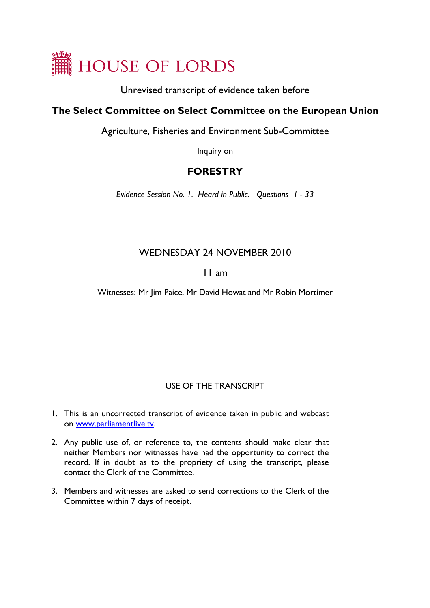

Unrevised transcript of evidence taken before

## **The Select Committee on Select Committee on the European Union**

Agriculture, Fisheries and Environment Sub-Committee

Inquiry on

# **FORESTRY**

*Evidence Session No. 1. Heard in Public. Questions 1 - 33* 

# WEDNESDAY 24 NOVEMBER 2010

## 11 am

Witnesses: Mr Jim Paice, Mr David Howat and Mr Robin Mortimer

### USE OF THE TRANSCRIPT

- 1. This is an uncorrected transcript of evidence taken in public and webcast on [www.parliamentlive.tv.](http://www.parliamentlive.tv/)
- 2. Any public use of, or reference to, the contents should make clear that neither Members nor witnesses have had the opportunity to correct the record. If in doubt as to the propriety of using the transcript, please contact the Clerk of the Committee.
- 3. Members and witnesses are asked to send corrections to the Clerk of the Committee within 7 days of receipt.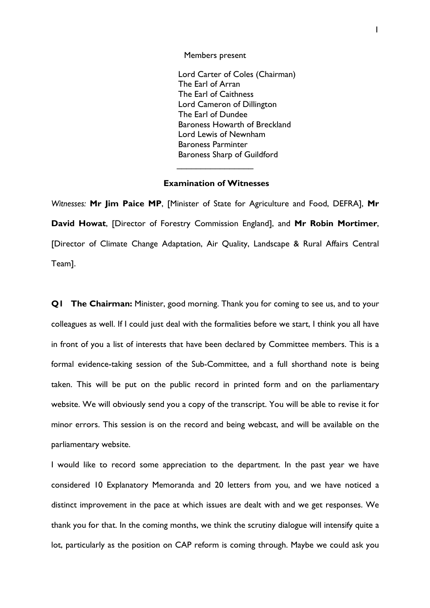Members present

Lord Carter of Coles (Chairman) The Earl of Arran The Earl of Caithness Lord Cameron of Dillington The Earl of Dundee Baroness Howarth of Breckland Lord Lewis of Newnham Baroness Parminter Baroness Sharp of Guildford

#### **Examination of Witnesses**

 $\overline{\phantom{a}}$  . The set of the set of the set of the set of the set of the set of the set of the set of the set of the set of the set of the set of the set of the set of the set of the set of the set of the set of the set o

*Witnesses:* **Mr Jim Paice MP**, [Minister of State for Agriculture and Food, DEFRA], **Mr David Howat**, [Director of Forestry Commission England], and **Mr Robin Mortimer**, [Director of Climate Change Adaptation, Air Quality, Landscape & Rural Affairs Central Team].

**Q1 The Chairman:** Minister, good morning. Thank you for coming to see us, and to your colleagues as well. If I could just deal with the formalities before we start, I think you all have in front of you a list of interests that have been declared by Committee members. This is a formal evidence-taking session of the Sub-Committee, and a full shorthand note is being taken. This will be put on the public record in printed form and on the parliamentary website. We will obviously send you a copy of the transcript. You will be able to revise it for minor errors. This session is on the record and being webcast, and will be available on the parliamentary website.

I would like to record some appreciation to the department. In the past year we have considered 10 Explanatory Memoranda and 20 letters from you, and we have noticed a distinct improvement in the pace at which issues are dealt with and we get responses. We thank you for that. In the coming months, we think the scrutiny dialogue will intensify quite a lot, particularly as the position on CAP reform is coming through. Maybe we could ask you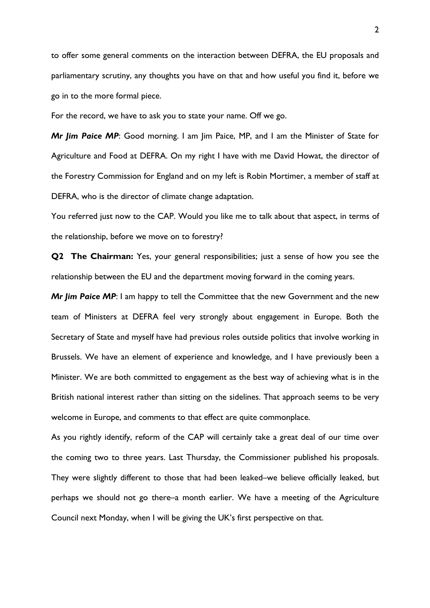to offer some general comments on the interaction between DEFRA, the EU proposals and parliamentary scrutiny, any thoughts you have on that and how useful you find it, before we go in to the more formal piece.

For the record, we have to ask you to state your name. Off we go.

*Mr Jim Paice MP*: Good morning. I am Jim Paice, MP, and I am the Minister of State for Agriculture and Food at DEFRA. On my right I have with me David Howat, the director of the Forestry Commission for England and on my left is Robin Mortimer, a member of staff at DEFRA, who is the director of climate change adaptation.

You referred just now to the CAP. Would you like me to talk about that aspect, in terms of the relationship, before we move on to forestry?

**Q2 The Chairman:** Yes, your general responsibilities; just a sense of how you see the relationship between the EU and the department moving forward in the coming years.

*Mr Jim Paice MP*: I am happy to tell the Committee that the new Government and the new team of Ministers at DEFRA feel very strongly about engagement in Europe. Both the Secretary of State and myself have had previous roles outside politics that involve working in Brussels. We have an element of experience and knowledge, and I have previously been a Minister. We are both committed to engagement as the best way of achieving what is in the British national interest rather than sitting on the sidelines. That approach seems to be very welcome in Europe, and comments to that effect are quite commonplace.

As you rightly identify, reform of the CAP will certainly take a great deal of our time over the coming two to three years. Last Thursday, the Commissioner published his proposals. They were slightly different to those that had been leaked–we believe officially leaked, but perhaps we should not go there–a month earlier. We have a meeting of the Agriculture Council next Monday, when I will be giving the UK's first perspective on that.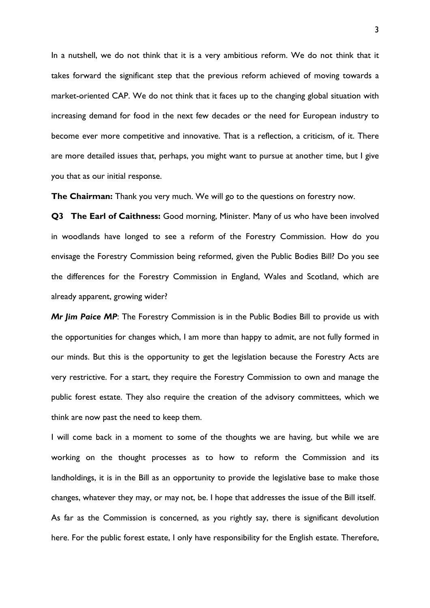In a nutshell, we do not think that it is a very ambitious reform. We do not think that it takes forward the significant step that the previous reform achieved of moving towards a market-oriented CAP. We do not think that it faces up to the changing global situation with increasing demand for food in the next few decades or the need for European industry to become ever more competitive and innovative. That is a reflection, a criticism, of it. There are more detailed issues that, perhaps, you might want to pursue at another time, but I give you that as our initial response.

**The Chairman:** Thank you very much. We will go to the questions on forestry now.

**Q3 The Earl of Caithness:** Good morning, Minister. Many of us who have been involved in woodlands have longed to see a reform of the Forestry Commission. How do you envisage the Forestry Commission being reformed, given the Public Bodies Bill? Do you see the differences for the Forestry Commission in England, Wales and Scotland, which are already apparent, growing wider?

*Mr Jim Paice MP*: The Forestry Commission is in the Public Bodies Bill to provide us with the opportunities for changes which, I am more than happy to admit, are not fully formed in our minds. But this is the opportunity to get the legislation because the Forestry Acts are very restrictive. For a start, they require the Forestry Commission to own and manage the public forest estate. They also require the creation of the advisory committees, which we think are now past the need to keep them.

I will come back in a moment to some of the thoughts we are having, but while we are working on the thought processes as to how to reform the Commission and its landholdings, it is in the Bill as an opportunity to provide the legislative base to make those changes, whatever they may, or may not, be. I hope that addresses the issue of the Bill itself. As far as the Commission is concerned, as you rightly say, there is significant devolution here. For the public forest estate, I only have responsibility for the English estate. Therefore,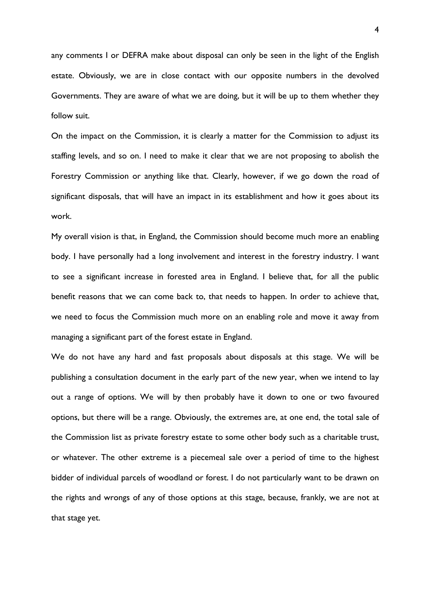any comments I or DEFRA make about disposal can only be seen in the light of the English estate. Obviously, we are in close contact with our opposite numbers in the devolved Governments. They are aware of what we are doing, but it will be up to them whether they follow suit.

On the impact on the Commission, it is clearly a matter for the Commission to adjust its staffing levels, and so on. I need to make it clear that we are not proposing to abolish the Forestry Commission or anything like that. Clearly, however, if we go down the road of significant disposals, that will have an impact in its establishment and how it goes about its work.

My overall vision is that, in England, the Commission should become much more an enabling body. I have personally had a long involvement and interest in the forestry industry. I want to see a significant increase in forested area in England. I believe that, for all the public benefit reasons that we can come back to, that needs to happen. In order to achieve that, we need to focus the Commission much more on an enabling role and move it away from managing a significant part of the forest estate in England.

We do not have any hard and fast proposals about disposals at this stage. We will be publishing a consultation document in the early part of the new year, when we intend to lay out a range of options. We will by then probably have it down to one or two favoured options, but there will be a range. Obviously, the extremes are, at one end, the total sale of the Commission list as private forestry estate to some other body such as a charitable trust, or whatever. The other extreme is a piecemeal sale over a period of time to the highest bidder of individual parcels of woodland or forest. I do not particularly want to be drawn on the rights and wrongs of any of those options at this stage, because, frankly, we are not at that stage yet.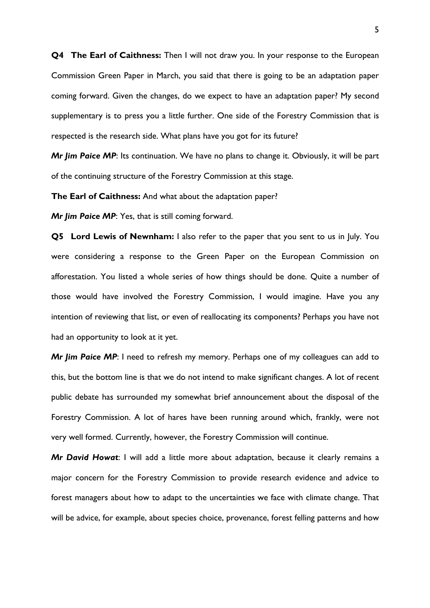**Q4 The Earl of Caithness:** Then I will not draw you. In your response to the European Commission Green Paper in March, you said that there is going to be an adaptation paper coming forward. Given the changes, do we expect to have an adaptation paper? My second supplementary is to press you a little further. One side of the Forestry Commission that is respected is the research side. What plans have you got for its future?

*Mr Jim Paice MP*: Its continuation. We have no plans to change it. Obviously, it will be part of the continuing structure of the Forestry Commission at this stage.

**The Earl of Caithness:** And what about the adaptation paper?

*Mr Jim Paice MP*: Yes, that is still coming forward.

**Q5 Lord Lewis of Newnham:** I also refer to the paper that you sent to us in July. You were considering a response to the Green Paper on the European Commission on afforestation. You listed a whole series of how things should be done. Quite a number of those would have involved the Forestry Commission, I would imagine. Have you any intention of reviewing that list, or even of reallocating its components? Perhaps you have not had an opportunity to look at it yet.

*Mr Jim Paice MP*: I need to refresh my memory. Perhaps one of my colleagues can add to this, but the bottom line is that we do not intend to make significant changes. A lot of recent public debate has surrounded my somewhat brief announcement about the disposal of the Forestry Commission. A lot of hares have been running around which, frankly, were not very well formed. Currently, however, the Forestry Commission will continue.

*Mr David Howat*: I will add a little more about adaptation, because it clearly remains a major concern for the Forestry Commission to provide research evidence and advice to forest managers about how to adapt to the uncertainties we face with climate change. That will be advice, for example, about species choice, provenance, forest felling patterns and how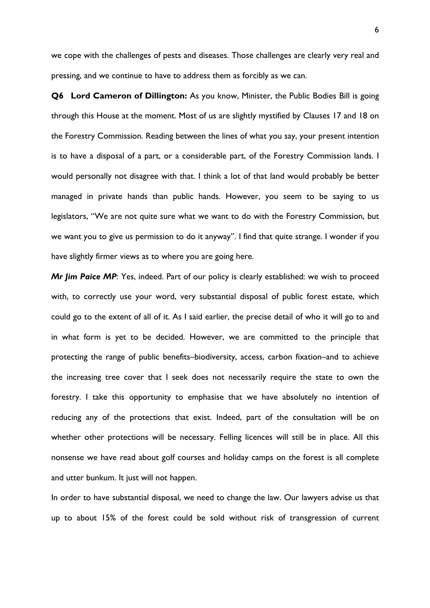we cope with the challenges of pests and diseases. Those challenges are clearly very real and pressing, and we continue to have to address them as forcibly as we can.

**Q6 Lord Cameron of Dillington:** As you know, Minister, the Public Bodies Bill is going through this House at the moment. Most of us are slightly mystified by Clauses 17 and 18 on the Forestry Commission. Reading between the lines of what you say, your present intention is to have a disposal of a part, or a considerable part, of the Forestry Commission lands. I would personally not disagree with that. I think a lot of that land would probably be better managed in private hands than public hands. However, you seem to be saying to us legislators, "We are not quite sure what we want to do with the Forestry Commission, but we want you to give us permission to do it anyway". I find that quite strange. I wonder if you have slightly firmer views as to where you are going here.

*Mr Jim Paice MP*: Yes, indeed. Part of our policy is clearly established: we wish to proceed with, to correctly use your word, very substantial disposal of public forest estate, which could go to the extent of all of it. As I said earlier, the precise detail of who it will go to and in what form is yet to be decided. However, we are committed to the principle that protecting the range of public benefits–biodiversity, access, carbon fixation–and to achieve the increasing tree cover that I seek does not necessarily require the state to own the forestry. I take this opportunity to emphasise that we have absolutely no intention of reducing any of the protections that exist. Indeed, part of the consultation will be on whether other protections will be necessary. Felling licences will still be in place. All this nonsense we have read about golf courses and holiday camps on the forest is all complete and utter bunkum. It just will not happen.

In order to have substantial disposal, we need to change the law. Our lawyers advise us that up to about 15% of the forest could be sold without risk of transgression of current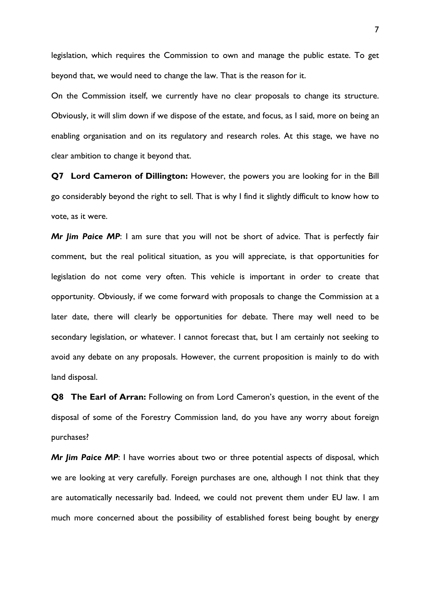legislation, which requires the Commission to own and manage the public estate. To get beyond that, we would need to change the law. That is the reason for it.

On the Commission itself, we currently have no clear proposals to change its structure. Obviously, it will slim down if we dispose of the estate, and focus, as I said, more on being an enabling organisation and on its regulatory and research roles. At this stage, we have no clear ambition to change it beyond that.

**Q7 Lord Cameron of Dillington:** However, the powers you are looking for in the Bill go considerably beyond the right to sell. That is why I find it slightly difficult to know how to vote, as it were.

*Mr Jim Paice MP*: I am sure that you will not be short of advice. That is perfectly fair comment, but the real political situation, as you will appreciate, is that opportunities for legislation do not come very often. This vehicle is important in order to create that opportunity. Obviously, if we come forward with proposals to change the Commission at a later date, there will clearly be opportunities for debate. There may well need to be secondary legislation, or whatever. I cannot forecast that, but I am certainly not seeking to avoid any debate on any proposals. However, the current proposition is mainly to do with land disposal.

**Q8 The Earl of Arran:** Following on from Lord Cameron's question, in the event of the disposal of some of the Forestry Commission land, do you have any worry about foreign purchases?

*Mr Jim Paice MP*: I have worries about two or three potential aspects of disposal, which we are looking at very carefully. Foreign purchases are one, although I not think that they are automatically necessarily bad. Indeed, we could not prevent them under EU law. I am much more concerned about the possibility of established forest being bought by energy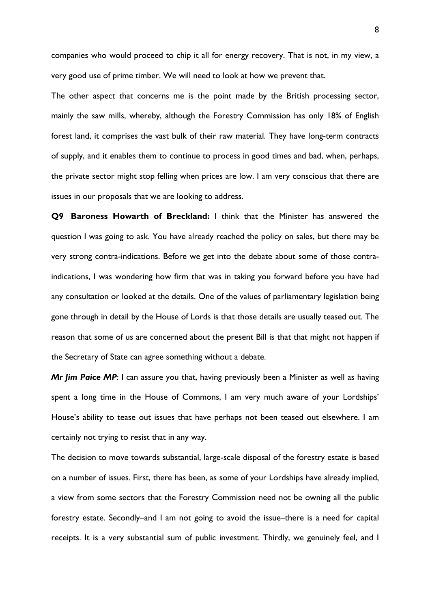companies who would proceed to chip it all for energy recovery. That is not, in my view, a very good use of prime timber. We will need to look at how we prevent that.

The other aspect that concerns me is the point made by the British processing sector, mainly the saw mills, whereby, although the Forestry Commission has only 18% of English forest land, it comprises the vast bulk of their raw material. They have long-term contracts of supply, and it enables them to continue to process in good times and bad, when, perhaps, the private sector might stop felling when prices are low. I am very conscious that there are issues in our proposals that we are looking to address.

**Q9 Baroness Howarth of Breckland:** I think that the Minister has answered the question I was going to ask. You have already reached the policy on sales, but there may be very strong contra-indications. Before we get into the debate about some of those contraindications, I was wondering how firm that was in taking you forward before you have had any consultation or looked at the details. One of the values of parliamentary legislation being gone through in detail by the House of Lords is that those details are usually teased out. The reason that some of us are concerned about the present Bill is that that might not happen if the Secretary of State can agree something without a debate.

*Mr Jim Paice MP*: I can assure you that, having previously been a Minister as well as having spent a long time in the House of Commons, I am very much aware of your Lordships' House's ability to tease out issues that have perhaps not been teased out elsewhere. I am certainly not trying to resist that in any way.

The decision to move towards substantial, large-scale disposal of the forestry estate is based on a number of issues. First, there has been, as some of your Lordships have already implied, a view from some sectors that the Forestry Commission need not be owning all the public forestry estate. Secondly–and I am not going to avoid the issue–there is a need for capital receipts. It is a very substantial sum of public investment. Thirdly, we genuinely feel, and I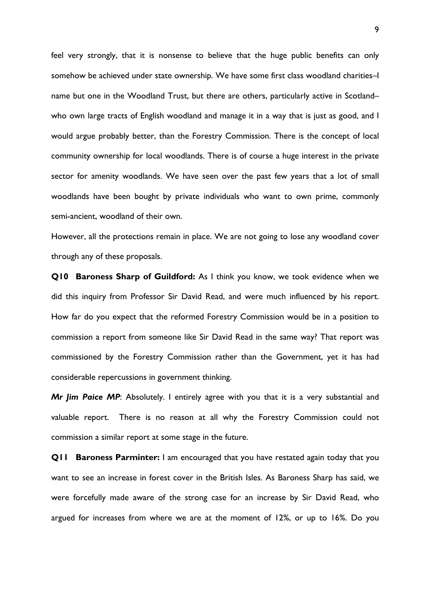feel very strongly, that it is nonsense to believe that the huge public benefits can only somehow be achieved under state ownership. We have some first class woodland charities–I name but one in the Woodland Trust, but there are others, particularly active in Scotland– who own large tracts of English woodland and manage it in a way that is just as good, and I would argue probably better, than the Forestry Commission. There is the concept of local community ownership for local woodlands. There is of course a huge interest in the private sector for amenity woodlands. We have seen over the past few years that a lot of small woodlands have been bought by private individuals who want to own prime, commonly semi-ancient, woodland of their own.

However, all the protections remain in place. We are not going to lose any woodland cover through any of these proposals.

**Q10 Baroness Sharp of Guildford:** As I think you know, we took evidence when we did this inquiry from Professor Sir David Read, and were much influenced by his report. How far do you expect that the reformed Forestry Commission would be in a position to commission a report from someone like Sir David Read in the same way? That report was commissioned by the Forestry Commission rather than the Government, yet it has had considerable repercussions in government thinking.

*Mr Jim Paice MP*: Absolutely. I entirely agree with you that it is a very substantial and valuable report. There is no reason at all why the Forestry Commission could not commission a similar report at some stage in the future.

**Q11 Baroness Parminter:** I am encouraged that you have restated again today that you want to see an increase in forest cover in the British Isles. As Baroness Sharp has said, we were forcefully made aware of the strong case for an increase by Sir David Read, who argued for increases from where we are at the moment of 12%, or up to 16%. Do you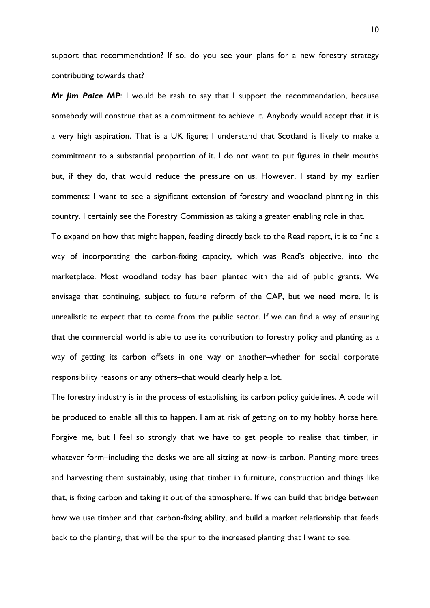support that recommendation? If so, do you see your plans for a new forestry strategy contributing towards that?

*Mr Jim Paice MP*: I would be rash to say that I support the recommendation, because somebody will construe that as a commitment to achieve it. Anybody would accept that it is a very high aspiration. That is a UK figure; I understand that Scotland is likely to make a commitment to a substantial proportion of it. I do not want to put figures in their mouths but, if they do, that would reduce the pressure on us. However, I stand by my earlier comments: I want to see a significant extension of forestry and woodland planting in this country. I certainly see the Forestry Commission as taking a greater enabling role in that.

To expand on how that might happen, feeding directly back to the Read report, it is to find a way of incorporating the carbon-fixing capacity, which was Read's objective, into the marketplace. Most woodland today has been planted with the aid of public grants. We envisage that continuing, subject to future reform of the CAP, but we need more. It is unrealistic to expect that to come from the public sector. If we can find a way of ensuring that the commercial world is able to use its contribution to forestry policy and planting as a way of getting its carbon offsets in one way or another–whether for social corporate responsibility reasons or any others–that would clearly help a lot.

The forestry industry is in the process of establishing its carbon policy guidelines. A code will be produced to enable all this to happen. I am at risk of getting on to my hobby horse here. Forgive me, but I feel so strongly that we have to get people to realise that timber, in whatever form–including the desks we are all sitting at now–is carbon. Planting more trees and harvesting them sustainably, using that timber in furniture, construction and things like that, is fixing carbon and taking it out of the atmosphere. If we can build that bridge between how we use timber and that carbon-fixing ability, and build a market relationship that feeds back to the planting, that will be the spur to the increased planting that I want to see.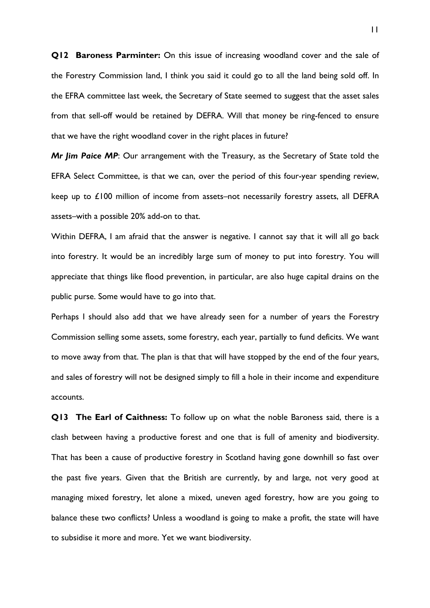**Q12 Baroness Parminter:** On this issue of increasing woodland cover and the sale of the Forestry Commission land, I think you said it could go to all the land being sold off. In the EFRA committee last week, the Secretary of State seemed to suggest that the asset sales from that sell-off would be retained by DEFRA. Will that money be ring-fenced to ensure that we have the right woodland cover in the right places in future?

*Mr Jim Paice MP*: Our arrangement with the Treasury, as the Secretary of State told the EFRA Select Committee, is that we can, over the period of this four-year spending review, keep up to £100 million of income from assets–not necessarily forestry assets, all DEFRA assets–with a possible 20% add-on to that.

Within DEFRA, I am afraid that the answer is negative. I cannot say that it will all go back into forestry. It would be an incredibly large sum of money to put into forestry. You will appreciate that things like flood prevention, in particular, are also huge capital drains on the public purse. Some would have to go into that.

Perhaps I should also add that we have already seen for a number of years the Forestry Commission selling some assets, some forestry, each year, partially to fund deficits. We want to move away from that. The plan is that that will have stopped by the end of the four years, and sales of forestry will not be designed simply to fill a hole in their income and expenditure accounts.

**Q13 The Earl of Caithness:** To follow up on what the noble Baroness said, there is a clash between having a productive forest and one that is full of amenity and biodiversity. That has been a cause of productive forestry in Scotland having gone downhill so fast over the past five years. Given that the British are currently, by and large, not very good at managing mixed forestry, let alone a mixed, uneven aged forestry, how are you going to balance these two conflicts? Unless a woodland is going to make a profit, the state will have to subsidise it more and more. Yet we want biodiversity.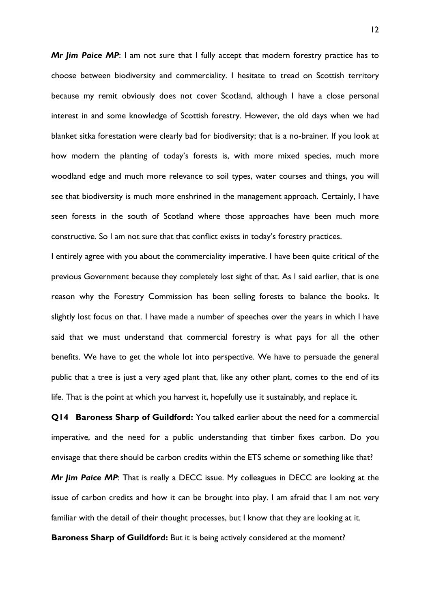*Mr Jim Paice MP*: I am not sure that I fully accept that modern forestry practice has to choose between biodiversity and commerciality. I hesitate to tread on Scottish territory because my remit obviously does not cover Scotland, although I have a close personal interest in and some knowledge of Scottish forestry. However, the old days when we had blanket sitka forestation were clearly bad for biodiversity; that is a no-brainer. If you look at how modern the planting of today's forests is, with more mixed species, much more woodland edge and much more relevance to soil types, water courses and things, you will see that biodiversity is much more enshrined in the management approach. Certainly, I have seen forests in the south of Scotland where those approaches have been much more constructive. So I am not sure that that conflict exists in today's forestry practices.

I entirely agree with you about the commerciality imperative. I have been quite critical of the previous Government because they completely lost sight of that. As I said earlier, that is one reason why the Forestry Commission has been selling forests to balance the books. It slightly lost focus on that. I have made a number of speeches over the years in which I have said that we must understand that commercial forestry is what pays for all the other benefits. We have to get the whole lot into perspective. We have to persuade the general public that a tree is just a very aged plant that, like any other plant, comes to the end of its life. That is the point at which you harvest it, hopefully use it sustainably, and replace it.

**Q14 Baroness Sharp of Guildford:** You talked earlier about the need for a commercial imperative, and the need for a public understanding that timber fixes carbon. Do you envisage that there should be carbon credits within the ETS scheme or something like that?

*Mr Jim Paice MP*: That is really a DECC issue. My colleagues in DECC are looking at the issue of carbon credits and how it can be brought into play. I am afraid that I am not very familiar with the detail of their thought processes, but I know that they are looking at it.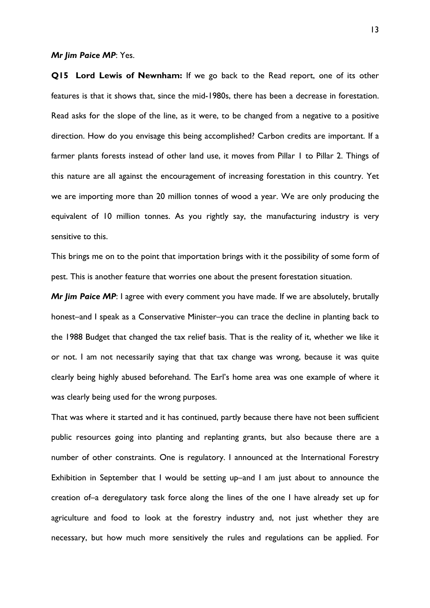#### *Mr Jim Paice MP*: Yes.

**Q15 Lord Lewis of Newnham:** If we go back to the Read report, one of its other features is that it shows that, since the mid-1980s, there has been a decrease in forestation. Read asks for the slope of the line, as it were, to be changed from a negative to a positive direction. How do you envisage this being accomplished? Carbon credits are important. If a farmer plants forests instead of other land use, it moves from Pillar 1 to Pillar 2. Things of this nature are all against the encouragement of increasing forestation in this country. Yet we are importing more than 20 million tonnes of wood a year. We are only producing the equivalent of 10 million tonnes. As you rightly say, the manufacturing industry is very sensitive to this.

This brings me on to the point that importation brings with it the possibility of some form of pest. This is another feature that worries one about the present forestation situation.

*Mr Jim Paice MP*: I agree with every comment you have made. If we are absolutely, brutally honest–and I speak as a Conservative Minister–you can trace the decline in planting back to the 1988 Budget that changed the tax relief basis. That is the reality of it, whether we like it or not. I am not necessarily saying that that tax change was wrong, because it was quite clearly being highly abused beforehand. The Earl's home area was one example of where it was clearly being used for the wrong purposes.

That was where it started and it has continued, partly because there have not been sufficient public resources going into planting and replanting grants, but also because there are a number of other constraints. One is regulatory. I announced at the International Forestry Exhibition in September that I would be setting up–and I am just about to announce the creation of–a deregulatory task force along the lines of the one I have already set up for agriculture and food to look at the forestry industry and, not just whether they are necessary, but how much more sensitively the rules and regulations can be applied. For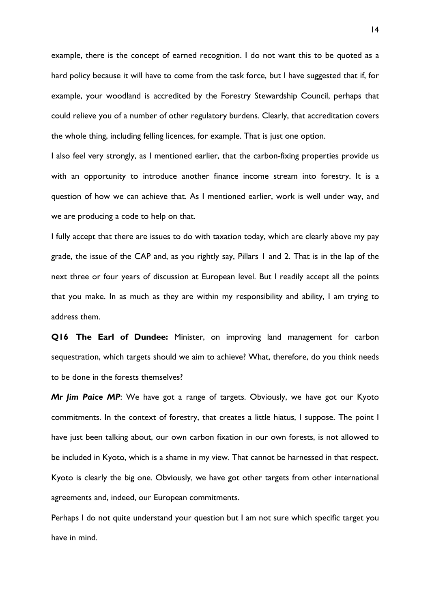example, there is the concept of earned recognition. I do not want this to be quoted as a hard policy because it will have to come from the task force, but I have suggested that if, for example, your woodland is accredited by the Forestry Stewardship Council, perhaps that could relieve you of a number of other regulatory burdens. Clearly, that accreditation covers the whole thing, including felling licences, for example. That is just one option.

I also feel very strongly, as I mentioned earlier, that the carbon-fixing properties provide us with an opportunity to introduce another finance income stream into forestry. It is a question of how we can achieve that. As I mentioned earlier, work is well under way, and we are producing a code to help on that.

I fully accept that there are issues to do with taxation today, which are clearly above my pay grade, the issue of the CAP and, as you rightly say, Pillars 1 and 2. That is in the lap of the next three or four years of discussion at European level. But I readily accept all the points that you make. In as much as they are within my responsibility and ability, I am trying to address them.

**Q16 The Earl of Dundee:** Minister, on improving land management for carbon sequestration, which targets should we aim to achieve? What, therefore, do you think needs to be done in the forests themselves?

*Mr Jim Paice MP*: We have got a range of targets. Obviously, we have got our Kyoto commitments. In the context of forestry, that creates a little hiatus, I suppose. The point I have just been talking about, our own carbon fixation in our own forests, is not allowed to be included in Kyoto, which is a shame in my view. That cannot be harnessed in that respect. Kyoto is clearly the big one. Obviously, we have got other targets from other international agreements and, indeed, our European commitments.

Perhaps I do not quite understand your question but I am not sure which specific target you have in mind.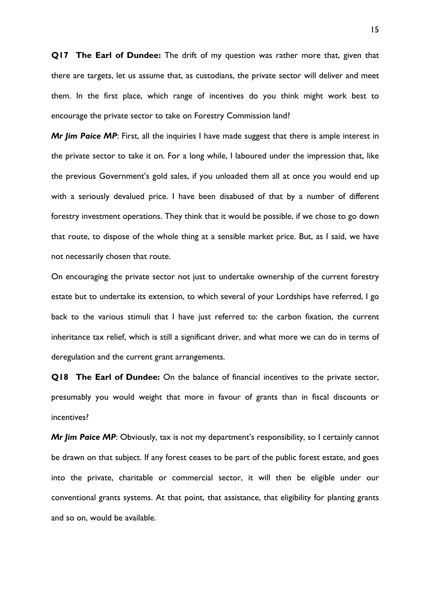**Q17 The Earl of Dundee:** The drift of my question was rather more that, given that there are targets, let us assume that, as custodians, the private sector will deliver and meet them. In the first place, which range of incentives do you think might work best to encourage the private sector to take on Forestry Commission land?

*Mr Jim Paice MP*: First, all the inquiries I have made suggest that there is ample interest in the private sector to take it on. For a long while, I laboured under the impression that, like the previous Government's gold sales, if you unloaded them all at once you would end up with a seriously devalued price. I have been disabused of that by a number of different forestry investment operations. They think that it would be possible, if we chose to go down that route, to dispose of the whole thing at a sensible market price. But, as I said, we have not necessarily chosen that route.

On encouraging the private sector not just to undertake ownership of the current forestry estate but to undertake its extension, to which several of your Lordships have referred, I go back to the various stimuli that I have just referred to: the carbon fixation, the current inheritance tax relief, which is still a significant driver, and what more we can do in terms of deregulation and the current grant arrangements.

**Q18 The Earl of Dundee:** On the balance of financial incentives to the private sector, presumably you would weight that more in favour of grants than in fiscal discounts or incentives?

*Mr Jim Paice MP*: Obviously, tax is not my department's responsibility, so I certainly cannot be drawn on that subject. If any forest ceases to be part of the public forest estate, and goes into the private, charitable or commercial sector, it will then be eligible under our conventional grants systems. At that point, that assistance, that eligibility for planting grants and so on, would be available.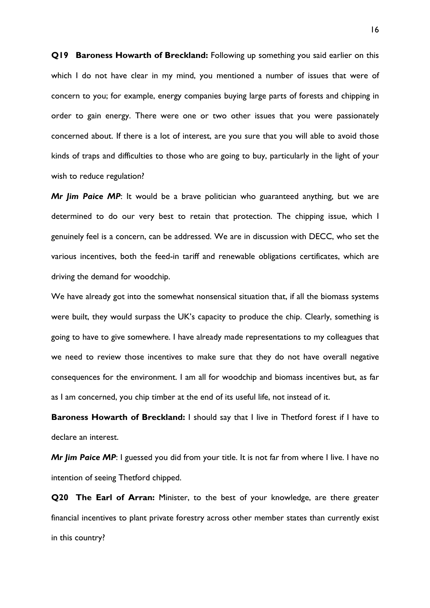**Q19 Baroness Howarth of Breckland:** Following up something you said earlier on this which I do not have clear in my mind, you mentioned a number of issues that were of concern to you; for example, energy companies buying large parts of forests and chipping in order to gain energy. There were one or two other issues that you were passionately concerned about. If there is a lot of interest, are you sure that you will able to avoid those kinds of traps and difficulties to those who are going to buy, particularly in the light of your wish to reduce regulation?

*Mr Jim Paice MP*: It would be a brave politician who guaranteed anything, but we are determined to do our very best to retain that protection. The chipping issue, which I genuinely feel is a concern, can be addressed. We are in discussion with DECC, who set the various incentives, both the feed-in tariff and renewable obligations certificates, which are driving the demand for woodchip.

We have already got into the somewhat nonsensical situation that, if all the biomass systems were built, they would surpass the UK's capacity to produce the chip. Clearly, something is going to have to give somewhere. I have already made representations to my colleagues that we need to review those incentives to make sure that they do not have overall negative consequences for the environment. I am all for woodchip and biomass incentives but, as far as I am concerned, you chip timber at the end of its useful life, not instead of it.

**Baroness Howarth of Breckland:** I should say that I live in Thetford forest if I have to declare an interest.

*Mr Jim Paice MP*: I guessed you did from your title. It is not far from where I live. I have no intention of seeing Thetford chipped.

**Q20 The Earl of Arran:** Minister, to the best of your knowledge, are there greater financial incentives to plant private forestry across other member states than currently exist in this country?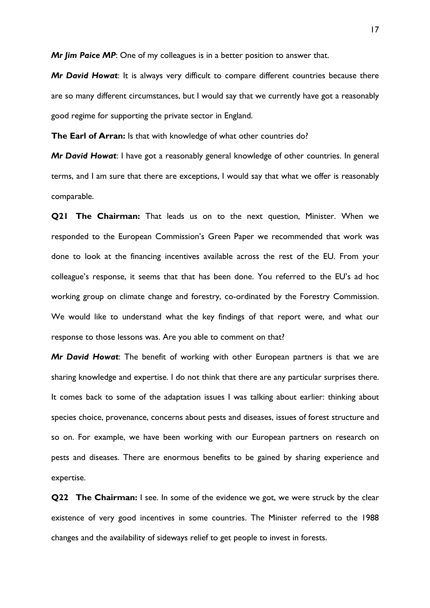*Mr Jim Paice MP*: One of my colleagues is in a better position to answer that.

*Mr David Howat*: It is always very difficult to compare different countries because there are so many different circumstances, but I would say that we currently have got a reasonably good regime for supporting the private sector in England.

**The Earl of Arran:** Is that with knowledge of what other countries do?

*Mr David Howat*: I have got a reasonably general knowledge of other countries. In general terms, and I am sure that there are exceptions, I would say that what we offer is reasonably comparable.

**Q21 The Chairman:** That leads us on to the next question, Minister. When we responded to the European Commission's Green Paper we recommended that work was done to look at the financing incentives available across the rest of the EU. From your colleague's response, it seems that that has been done. You referred to the EU's ad hoc working group on climate change and forestry, co-ordinated by the Forestry Commission. We would like to understand what the key findings of that report were, and what our response to those lessons was. Are you able to comment on that?

*Mr David Howat*: The benefit of working with other European partners is that we are sharing knowledge and expertise. I do not think that there are any particular surprises there. It comes back to some of the adaptation issues I was talking about earlier: thinking about species choice, provenance, concerns about pests and diseases, issues of forest structure and so on. For example, we have been working with our European partners on research on pests and diseases. There are enormous benefits to be gained by sharing experience and expertise.

**Q22 The Chairman:** I see. In some of the evidence we got, we were struck by the clear existence of very good incentives in some countries. The Minister referred to the 1988 changes and the availability of sideways relief to get people to invest in forests.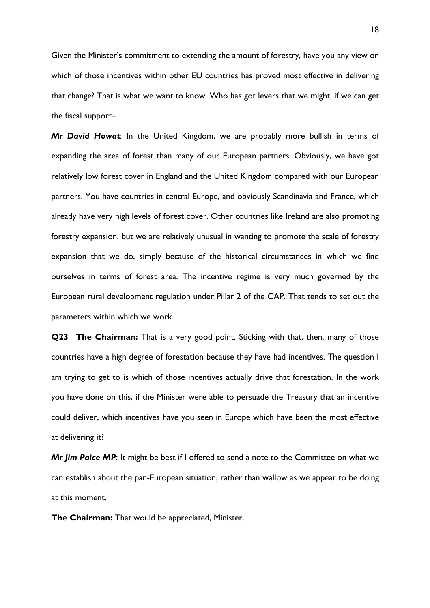Given the Minister's commitment to extending the amount of forestry, have you any view on which of those incentives within other EU countries has proved most effective in delivering that change? That is what we want to know. Who has got levers that we might, if we can get the fiscal support–

*Mr David Howat*: In the United Kingdom, we are probably more bullish in terms of expanding the area of forest than many of our European partners. Obviously, we have got relatively low forest cover in England and the United Kingdom compared with our European partners. You have countries in central Europe, and obviously Scandinavia and France, which already have very high levels of forest cover. Other countries like Ireland are also promoting forestry expansion, but we are relatively unusual in wanting to promote the scale of forestry expansion that we do, simply because of the historical circumstances in which we find ourselves in terms of forest area. The incentive regime is very much governed by the European rural development regulation under Pillar 2 of the CAP. That tends to set out the parameters within which we work.

**Q23 The Chairman:** That is a very good point. Sticking with that, then, many of those countries have a high degree of forestation because they have had incentives. The question I am trying to get to is which of those incentives actually drive that forestation. In the work you have done on this, if the Minister were able to persuade the Treasury that an incentive could deliver, which incentives have you seen in Europe which have been the most effective at delivering it?

*Mr Jim Paice MP*: It might be best if I offered to send a note to the Committee on what we can establish about the pan-European situation, rather than wallow as we appear to be doing at this moment.

**The Chairman:** That would be appreciated, Minister.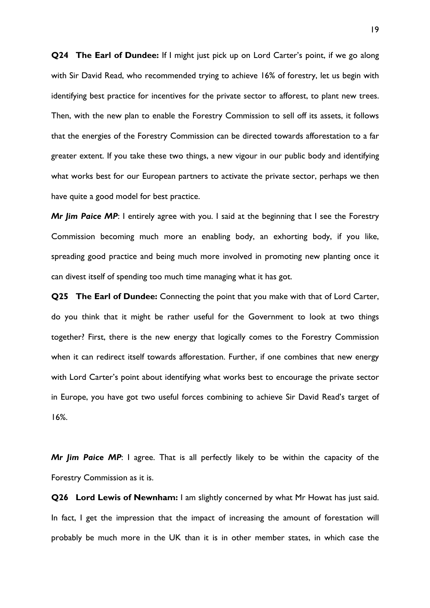**Q24 The Earl of Dundee:** If I might just pick up on Lord Carter's point, if we go along with Sir David Read, who recommended trying to achieve 16% of forestry, let us begin with identifying best practice for incentives for the private sector to afforest, to plant new trees. Then, with the new plan to enable the Forestry Commission to sell off its assets, it follows that the energies of the Forestry Commission can be directed towards afforestation to a far greater extent. If you take these two things, a new vigour in our public body and identifying what works best for our European partners to activate the private sector, perhaps we then have quite a good model for best practice.

*Mr Jim Paice MP*: I entirely agree with you. I said at the beginning that I see the Forestry Commission becoming much more an enabling body, an exhorting body, if you like, spreading good practice and being much more involved in promoting new planting once it can divest itself of spending too much time managing what it has got.

**Q25 The Earl of Dundee:** Connecting the point that you make with that of Lord Carter, do you think that it might be rather useful for the Government to look at two things together? First, there is the new energy that logically comes to the Forestry Commission when it can redirect itself towards afforestation. Further, if one combines that new energy with Lord Carter's point about identifying what works best to encourage the private sector in Europe, you have got two useful forces combining to achieve Sir David Read's target of 16%.

*Mr Jim Paice MP*: I agree. That is all perfectly likely to be within the capacity of the Forestry Commission as it is.

**Q26 Lord Lewis of Newnham:** I am slightly concerned by what Mr Howat has just said. In fact, I get the impression that the impact of increasing the amount of forestation will probably be much more in the UK than it is in other member states, in which case the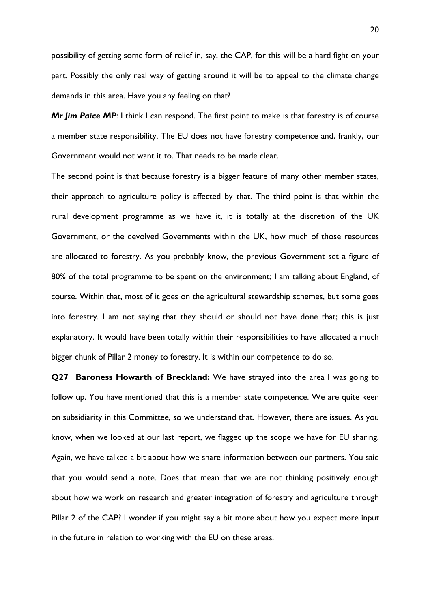possibility of getting some form of relief in, say, the CAP, for this will be a hard fight on your part. Possibly the only real way of getting around it will be to appeal to the climate change demands in this area. Have you any feeling on that?

*Mr Jim Paice MP*: I think I can respond. The first point to make is that forestry is of course a member state responsibility. The EU does not have forestry competence and, frankly, our Government would not want it to. That needs to be made clear.

The second point is that because forestry is a bigger feature of many other member states, their approach to agriculture policy is affected by that. The third point is that within the rural development programme as we have it, it is totally at the discretion of the UK Government, or the devolved Governments within the UK, how much of those resources are allocated to forestry. As you probably know, the previous Government set a figure of 80% of the total programme to be spent on the environment; I am talking about England, of course. Within that, most of it goes on the agricultural stewardship schemes, but some goes into forestry. I am not saying that they should or should not have done that; this is just explanatory. It would have been totally within their responsibilities to have allocated a much bigger chunk of Pillar 2 money to forestry. It is within our competence to do so.

**Q27 Baroness Howarth of Breckland:** We have strayed into the area I was going to follow up. You have mentioned that this is a member state competence. We are quite keen on subsidiarity in this Committee, so we understand that. However, there are issues. As you know, when we looked at our last report, we flagged up the scope we have for EU sharing. Again, we have talked a bit about how we share information between our partners. You said that you would send a note. Does that mean that we are not thinking positively enough about how we work on research and greater integration of forestry and agriculture through Pillar 2 of the CAP? I wonder if you might say a bit more about how you expect more input in the future in relation to working with the EU on these areas.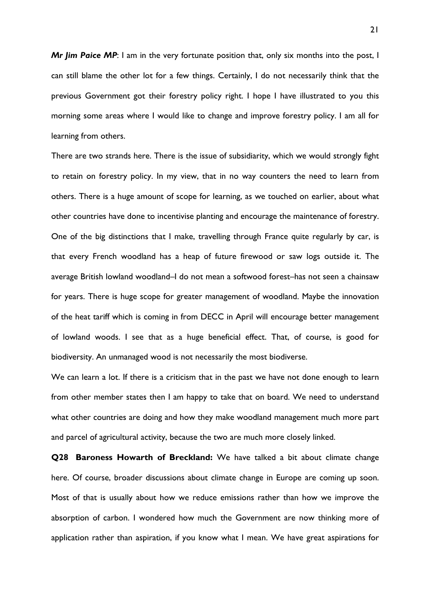*Mr Jim Paice MP*: I am in the very fortunate position that, only six months into the post, I can still blame the other lot for a few things. Certainly, I do not necessarily think that the previous Government got their forestry policy right. I hope I have illustrated to you this morning some areas where I would like to change and improve forestry policy. I am all for learning from others.

There are two strands here. There is the issue of subsidiarity, which we would strongly fight to retain on forestry policy. In my view, that in no way counters the need to learn from others. There is a huge amount of scope for learning, as we touched on earlier, about what other countries have done to incentivise planting and encourage the maintenance of forestry. One of the big distinctions that I make, travelling through France quite regularly by car, is that every French woodland has a heap of future firewood or saw logs outside it. The average British lowland woodland–I do not mean a softwood forest–has not seen a chainsaw for years. There is huge scope for greater management of woodland. Maybe the innovation of the heat tariff which is coming in from DECC in April will encourage better management of lowland woods. I see that as a huge beneficial effect. That, of course, is good for biodiversity. An unmanaged wood is not necessarily the most biodiverse.

We can learn a lot. If there is a criticism that in the past we have not done enough to learn from other member states then I am happy to take that on board. We need to understand what other countries are doing and how they make woodland management much more part and parcel of agricultural activity, because the two are much more closely linked.

**Q28 Baroness Howarth of Breckland:** We have talked a bit about climate change here. Of course, broader discussions about climate change in Europe are coming up soon. Most of that is usually about how we reduce emissions rather than how we improve the absorption of carbon. I wondered how much the Government are now thinking more of application rather than aspiration, if you know what I mean. We have great aspirations for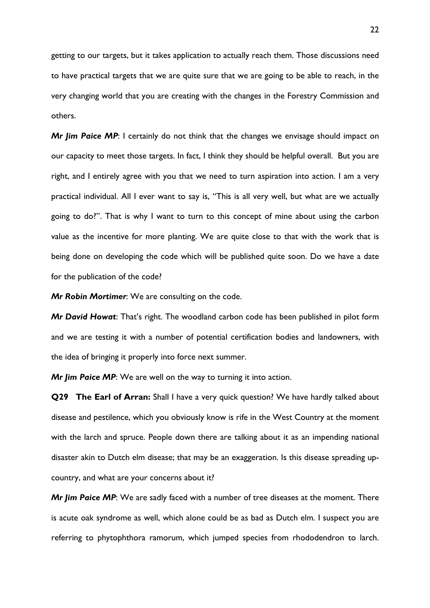getting to our targets, but it takes application to actually reach them. Those discussions need to have practical targets that we are quite sure that we are going to be able to reach, in the very changing world that you are creating with the changes in the Forestry Commission and others.

*Mr Jim Paice MP*: I certainly do not think that the changes we envisage should impact on our capacity to meet those targets. In fact, I think they should be helpful overall. But you are right, and I entirely agree with you that we need to turn aspiration into action. I am a very practical individual. All I ever want to say is, "This is all very well, but what are we actually going to do?". That is why I want to turn to this concept of mine about using the carbon value as the incentive for more planting. We are quite close to that with the work that is being done on developing the code which will be published quite soon. Do we have a date for the publication of the code?

*Mr Robin Mortimer*: We are consulting on the code.

*Mr David Howat*: That's right. The woodland carbon code has been published in pilot form and we are testing it with a number of potential certification bodies and landowners, with the idea of bringing it properly into force next summer.

*Mr Jim Paice MP*: We are well on the way to turning it into action.

**Q29 The Earl of Arran:** Shall I have a very quick question? We have hardly talked about disease and pestilence, which you obviously know is rife in the West Country at the moment with the larch and spruce. People down there are talking about it as an impending national disaster akin to Dutch elm disease; that may be an exaggeration. Is this disease spreading upcountry, and what are your concerns about it?

*Mr Jim Paice MP*: We are sadly faced with a number of tree diseases at the moment. There is acute oak syndrome as well, which alone could be as bad as Dutch elm. I suspect you are referring to phytophthora ramorum, which jumped species from rhododendron to larch.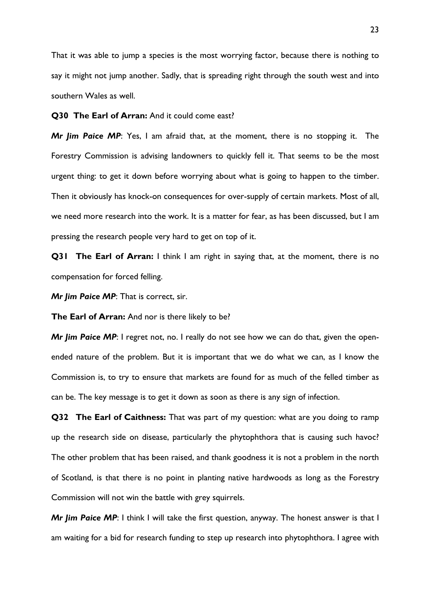That it was able to jump a species is the most worrying factor, because there is nothing to say it might not jump another. Sadly, that is spreading right through the south west and into southern Wales as well.

**Q30 The Earl of Arran:** And it could come east?

*Mr Jim Paice MP*: Yes, I am afraid that, at the moment, there is no stopping it. The Forestry Commission is advising landowners to quickly fell it. That seems to be the most urgent thing: to get it down before worrying about what is going to happen to the timber. Then it obviously has knock-on consequences for over-supply of certain markets. Most of all, we need more research into the work. It is a matter for fear, as has been discussed, but I am pressing the research people very hard to get on top of it.

**Q31 The Earl of Arran:** I think I am right in saying that, at the moment, there is no compensation for forced felling.

*Mr Jim Paice MP*: That is correct, sir.

**The Earl of Arran:** And nor is there likely to be?

*Mr Jim Paice MP*: I regret not, no. I really do not see how we can do that, given the openended nature of the problem. But it is important that we do what we can, as I know the Commission is, to try to ensure that markets are found for as much of the felled timber as can be. The key message is to get it down as soon as there is any sign of infection.

**Q32 The Earl of Caithness:** That was part of my question: what are you doing to ramp up the research side on disease, particularly the phytophthora that is causing such havoc? The other problem that has been raised, and thank goodness it is not a problem in the north of Scotland, is that there is no point in planting native hardwoods as long as the Forestry Commission will not win the battle with grey squirrels.

*Mr Jim Paice MP*: I think I will take the first question, anyway. The honest answer is that I am waiting for a bid for research funding to step up research into phytophthora. I agree with